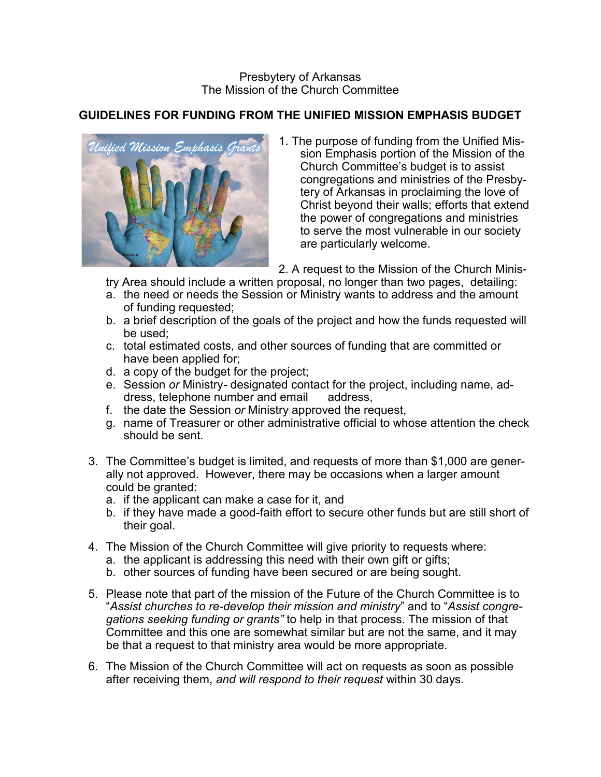## **GUIDELINES FOR FUNDING FROM THE UNIFIED MISSION EMPHASIS BUDGET**



1. The purpose of funding from the Unified Mission Emphasis portion of the Mission of the Church Committee's budget is to assist congregations and ministries of the Presbytery of Arkansas in proclaiming the love of Christ beyond their walls; efforts that extend the power of congregations and ministries to serve the most vulnerable in our society are particularly welcome.

2. A request to the Mission of the Church Minis-

try Area should include a written proposal, no longer than two pages, detailing:

- a. the need or needs the Session or Ministry wants to address and the amount of funding requested;
- b. a brief description of the goals of the project and how the funds requested will be used;
- c. total estimated costs, and other sources of funding that are committed or have been applied for;
- d. a copy of the budget for the project;
- e. Session *or* Ministry*-* designated contact for the project, including name, address, telephone number and email address,
- f. the date the Session *or* Ministry approved the request,
- g. name of Treasurer or other administrative official to whose attention the check should be sent.
- 3. The Committee's budget is limited, and requests of more than \$1,000 are generally not approved. However, there may be occasions when a larger amount could be granted:
	- a. if the applicant can make a case for it, and
	- b. if they have made a good-faith effort to secure other funds but are still short of their goal.
- 4. The Mission of the Church Committee will give priority to requests where:
	- a. the applicant is addressing this need with their own gift or gifts;
	- b. other sources of funding have been secured or are being sought.
- 5. Please note that part of the mission of the Future of the Church Committee is to "*Assist churches to re-develop their mission and ministry*" and to "*Assist congregations seeking funding or grants"* to help in that process. The mission of that Committee and this one are somewhat similar but are not the same, and it may be that a request to that ministry area would be more appropriate.
- 6. The Mission of the Church Committee will act on requests as soon as possible after receiving them, *and will respond to their request* within 30 days.